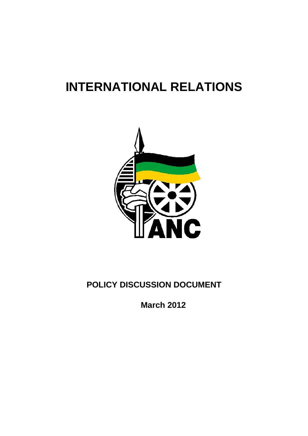# **INTERNATIONAL RELATIONS**



# **POLICY DISCUSSION DOCUMENT**

**March 2012**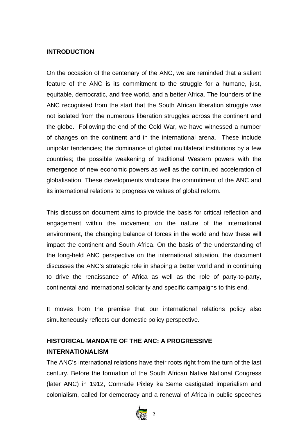### **INTRODUCTION**

On the occasion of the centenary of the ANC, we are reminded that a salient feature of the ANC is its commitment to the struggle for a humane, just, equitable, democratic, and free world, and a better Africa. The founders of the ANC recognised from the start that the South African liberation struggle was not isolated from the numerous liberation struggles across the continent and the globe. Following the end of the Cold War, we have witnessed a number of changes on the continent and in the international arena. These include unipolar tendencies; the dominance of global multilateral institutions by a few countries; the possible weakening of traditional Western powers with the emergence of new economic powers as well as the continued acceleration of globalisation. These developments vindicate the commtiment of the ANC and its international relations to progressive values of global reform.

This discussion document aims to provide the basis for critical reflection and engagement within the movement on the nature of the international environment, the changing balance of forces in the world and how these will impact the continent and South Africa. On the basis of the understanding of the long-held ANC perspective on the international situation, the document discusses the ANC's strategic role in shaping a better world and in continuing to drive the renaissance of Africa as well as the role of party-to-party, continental and international solidarity and specific campaigns to this end.

It moves from the premise that our international relations policy also simulteneously reflects our domestic policy perspective.

# **HISTORICAL MANDATE OF THE ANC: A PROGRESSIVE INTERNATIONALISM**

The ANC's international relations have their roots right from the turn of the last century. Before the formation of the South African Native National Congress (later ANC) in 1912, Comrade Pixley ka Seme castigated imperialism and colonialism, called for democracy and a renewal of Africa in public speeches

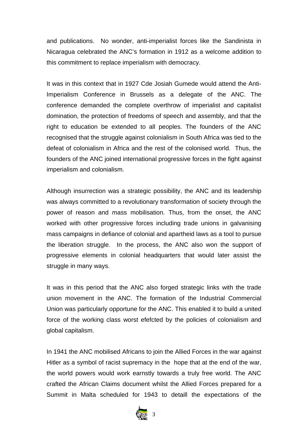and publications. No wonder, anti-imperialist forces like the Sandinista in Nicaragua celebrated the ANC's formation in 1912 as a welcome addition to this commitment to replace imperialism with democracy.

It was in this context that in 1927 Cde Josiah Gumede would attend the Anti-Imperialism Conference in Brussels as a delegate of the ANC. The conference demanded the complete overthrow of imperialist and capitalist domination, the protection of freedoms of speech and assembly, and that the right to education be extended to all peoples. The founders of the ANC recognised that the struggle against colonialism in South Africa was tied to the defeat of colonialism in Africa and the rest of the colonised world. Thus, the founders of the ANC joined international progressive forces in the fight against imperialism and colonialism.

Although insurrection was a strategic possibility, the ANC and its leadership was always committed to a revolutionary transformation of society through the power of reason and mass mobilisation. Thus, from the onset, the ANC worked with other progressive forces including trade unions in galvanising mass campaigns in defiance of colonial and apartheid laws as a tool to pursue the liberation struggle. In the process, the ANC also won the support of progressive elements in colonial headquarters that would later assist the struggle in many ways.

It was in this period that the ANC also forged strategic links with the trade union movement in the ANC. The formation of the Industrial Commercial Union was particularly opportune for the ANC. This enabled it to build a united force of the working class worst efefcted by the policies of colonialism and global capitalism.

In 1941 the ANC mobilised Africans to join the Allied Forces in the war against Hitler as a symbol of racist supremacy in the hope that at the end of the war, the world powers would work earnstly towards a truly free world. The ANC crafted the African Claims document whilst the Allied Forces prepared for a Summit in Malta scheduled for 1943 to detaill the expectations of the

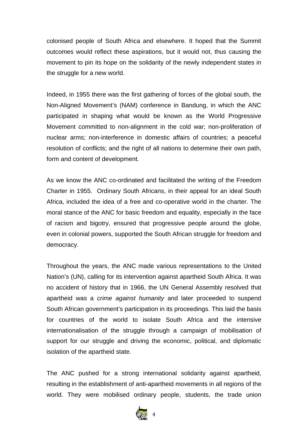colonised people of South Africa and elsewhere. It hoped that the Summit outcomes would reflect these aspirations, but it would not, thus causing the movement to pin its hope on the solidarity of the newly independent states in the struggle for a new world.

Indeed, in 1955 there was the first gathering of forces of the global south, the Non-Aligned Movement's (NAM) conference in Bandung, in which the ANC participated in shaping what would be known as the World Progressive Movement committed to non-alignment in the cold war; non-proliferation of nuclear arms; non-interference in domestic affairs of countries; a peaceful resolution of conflicts; and the right of all nations to determine their own path, form and content of development.

As we know the ANC co-ordinated and facilitated the writing of the Freedom Charter in 1955. Ordinary South Africans, in their appeal for an ideal South Africa, included the idea of a free and co-operative world in the charter. The moral stance of the ANC for basic freedom and equality, especially in the face of racism and bigotry, ensured that progressive people around the globe, even in colonial powers, supported the South African struggle for freedom and democracy.

Throughout the years, the ANC made various representations to the United Nation's (UN), calling for its intervention against apartheid South Africa. It was no accident of history that in 1966, the UN General Assembly resolved that apartheid was a *crime against humanity* and later proceeded to suspend South African government's participation in its proceedings. This laid the basis for countries of the world to isolate South Africa and the intensive internationalisation of the struggle through a campaign of mobilisation of support for our struggle and driving the economic, political, and diplomatic isolation of the apartheid state.

The ANC pushed for a strong international solidarity against apartheid, resulting in the establishment of anti-apartheid movements in all regions of the world. They were mobilised ordinary people, students, the trade union

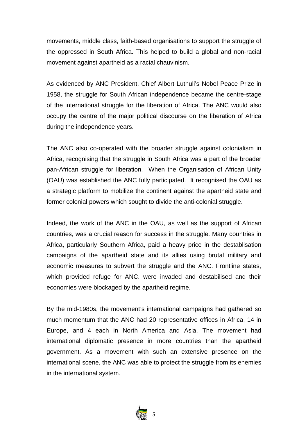movements, middle class, faith-based organisations to support the struggle of the oppressed in South Africa. This helped to build a global and non-racial movement against apartheid as a racial chauvinism.

As evidenced by ANC President, Chief Albert Luthuli's Nobel Peace Prize in 1958, the struggle for South African independence became the centre-stage of the international struggle for the liberation of Africa. The ANC would also occupy the centre of the major political discourse on the liberation of Africa during the independence years.

The ANC also co-operated with the broader struggle against colonialism in Africa, recognising that the struggle in South Africa was a part of the broader pan-African struggle for liberation. When the Organisation of African Unity (OAU) was established the ANC fully participated. It recognised the OAU as a strategic platform to mobilize the continent against the apartheid state and former colonial powers which sought to divide the anti-colonial struggle.

Indeed, the work of the ANC in the OAU, as well as the support of African countries, was a crucial reason for success in the struggle. Many countries in Africa, particularly Southern Africa, paid a heavy price in the destablisation campaigns of the apartheid state and its allies using brutal military and economic measures to subvert the struggle and the ANC. Frontline states, which provided refuge for ANC. were invaded and destabilised and their economies were blockaged by the apartheid regime.

By the mid-1980s, the movement's international campaigns had gathered so much momentum that the ANC had 20 representative offices in Africa, 14 in Europe, and 4 each in North America and Asia. The movement had international diplomatic presence in more countries than the apartheid government. As a movement with such an extensive presence on the international scene, the ANC was able to protect the struggle from its enemies in the international system.

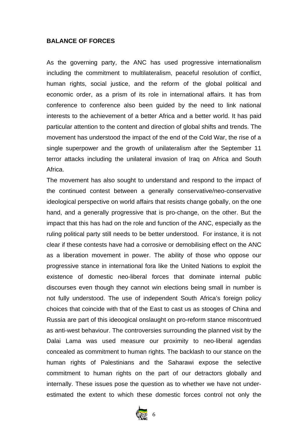#### **BALANCE OF FORCES**

As the governing party, the ANC has used progressive internationalism including the commitment to multilateralism, peaceful resolution of conflict, human rights, social justice, and the reform of the global political and economic order, as a prism of its role in international affairs. It has from conference to conference also been guided by the need to link national interests to the achievement of a better Africa and a better world. It has paid particular attention to the content and direction of global shifts and trends. The movement has understood the impact of the end of the Cold War, the rise of a single superpower and the growth of unilateralism after the September 11 terror attacks including the unilateral invasion of Iraq on Africa and South Africa.

The movement has also sought to understand and respond to the impact of the continued contest between a generally conservative/neo-conservative ideological perspective on world affairs that resists change gobally, on the one hand, and a generally progressive that is pro-change, on the other. But the impact that this has had on the role and function of the ANC, especially as the ruling political party still needs to be better understood. For instance, it is not clear if these contests have had a corrosive or demobilising effect on the ANC as a liberation movement in power. The ability of those who oppose our progressive stance in international fora like the United Nations to exploit the existence of domestic neo-liberal forces that dominate internal public discourses even though they cannot win elections being small in number is not fully understood. The use of independent South Africa's foreign policy choices that coincide with that of the East to cast us as stooges of China and Russia are part of this ideoogical onslaught on pro-reform stance miscontrued as anti-west behaviour. The controversies surrounding the planned visit by the Dalai Lama was used measure our proximity to neo-liberal agendas concealed as commitment to human rights. The backlash to our stance on the human rights of Palestinians and the Saharawi expose the selective commitment to human rights on the part of our detractors globally and internally. These issues pose the question as to whether we have not underestimated the extent to which these domestic forces control not only the

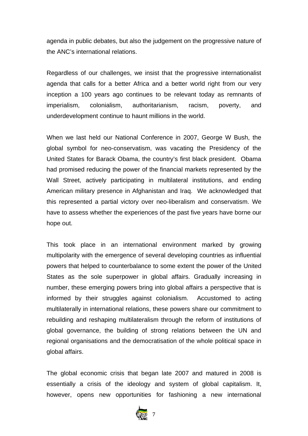agenda in public debates, but also the judgement on the progressive nature of the ANC's international relations.

Regardless of our challenges, we insist that the progressive internationalist agenda that calls for a better Africa and a better world right from our very inception a 100 years ago continues to be relevant today as remnants of imperialism, colonialism, authoritarianism, racism, poverty, and underdevelopment continue to haunt millions in the world.

When we last held our National Conference in 2007, George W Bush, the global symbol for neo-conservatism, was vacating the Presidency of the United States for Barack Obama, the country's first black president. Obama had promised reducing the power of the financial markets represented by the Wall Street, actively participating in multilateral institutions, and ending American military presence in Afghanistan and Iraq. We acknowledged that this represented a partial victory over neo-liberalism and conservatism. We have to assess whether the experiences of the past five years have borne our hope out.

This took place in an international environment marked by growing multipolarity with the emergence of several developing countries as influential powers that helped to counterbalance to some extent the power of the United States as the sole superpower in global affairs. Gradually increasing in number, these emerging powers bring into global affairs a perspective that is informed by their struggles against colonialism. Accustomed to acting multilaterally in international relations, these powers share our commitment to rebuilding and reshaping multilateralism through the reform of institutions of global governance, the building of strong relations between the UN and regional organisations and the democratisation of the whole political space in global affairs.

The global economic crisis that began late 2007 and matured in 2008 is essentially a crisis of the ideology and system of global capitalism. It, however, opens new opportunities for fashioning a new international

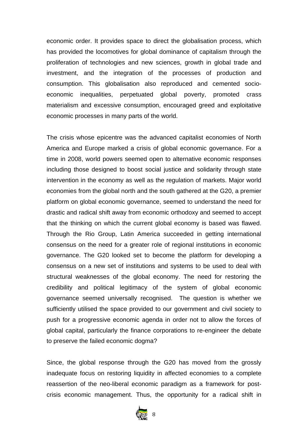economic order. It provides space to direct the globalisation process, which has provided the locomotives for global dominance of capitalism through the proliferation of technologies and new sciences, growth in global trade and investment, and the integration of the processes of production and consumption. This globalisation also reproduced and cemented socioeconomic inequalities, perpetuated global poverty, promoted crass materialism and excessive consumption, encouraged greed and exploitative economic processes in many parts of the world.

The crisis whose epicentre was the advanced capitalist economies of North America and Europe marked a crisis of global economic governance. For a time in 2008, world powers seemed open to alternative economic responses including those designed to boost social justice and solidarity through state intervention in the economy as well as the regulation of markets. Major world economies from the global north and the south gathered at the G20, a premier platform on global economic governance, seemed to understand the need for drastic and radical shift away from economic orthodoxy and seemed to accept that the thinking on which the current global economy is based was flawed. Through the Rio Group, Latin America succeeded in getting international consensus on the need for a greater role of regional institutions in economic governance. The G20 looked set to become the platform for developing a consensus on a new set of institutions and systems to be used to deal with structural weaknesses of the global economy. The need for restoring the credibility and political legitimacy of the system of global economic governance seemed universally recognised. The question is whether we sufficiently utilised the space provided to our government and civil society to push for a progressive economic agenda in order not to allow the forces of global capital, particularly the finance corporations to re-engineer the debate to preserve the failed economic dogma?

Since, the global response through the G20 has moved from the grossly inadequate focus on restoring liquidity in affected economies to a complete reassertion of the neo-liberal economic paradigm as a framework for postcrisis economic management. Thus, the opportunity for a radical shift in

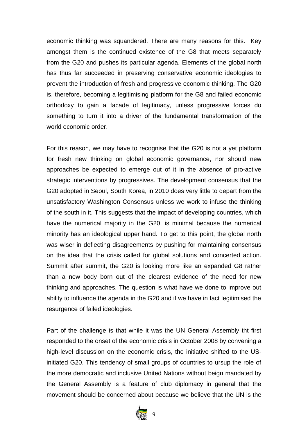economic thinking was squandered. There are many reasons for this. Key amongst them is the continued existence of the G8 that meets separately from the G20 and pushes its particular agenda. Elements of the global north has thus far succeeded in preserving conservative economic ideologies to prevent the introduction of fresh and progressive economic thinking. The G20 is, therefore, becoming a legitimising platform for the G8 and failed economic orthodoxy to gain a facade of legitimacy, unless progressive forces do something to turn it into a driver of the fundamental transformation of the world economic order.

For this reason, we may have to recognise that the G20 is not a yet platform for fresh new thinking on global economic governance, nor should new approaches be expected to emerge out of it in the absence of pro-active strategic interventions by progressives. The development consensus that the G20 adopted in Seoul, South Korea, in 2010 does very little to depart from the unsatisfactory Washington Consensus unless we work to infuse the thinking of the south in it. This suggests that the impact of developing countries, which have the numerical majority in the G20, is minimal because the numerical minority has an ideological upper hand. To get to this point, the global north was wiser in deflecting disagreements by pushing for maintaining consensus on the idea that the crisis called for global solutions and concerted action. Summit after summit, the G20 is looking more like an expanded G8 rather than a new body born out of the clearest evidence of the need for new thinking and approaches. The question is what have we done to improve out ability to influence the agenda in the G20 and if we have in fact legitimised the resurgence of failed ideologies.

Part of the challenge is that while it was the UN General Assembly tht first responded to the onset of the economic crisis in October 2008 by convening a high-level discussion on the economic crisis, the initiative shifted to the USinitiated G20. This tendency of small groups of countries to ursup the role of the more democratic and inclusive United Nations without beign mandated by the General Assembly is a feature of club diplomacy in general that the movement should be concerned about because we believe that the UN is the

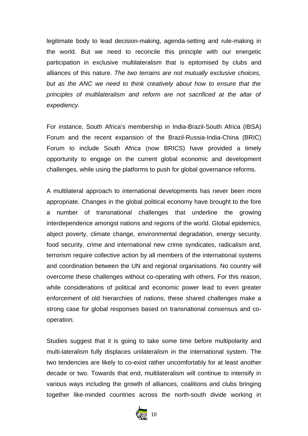legitimate body to lead decision-making, agenda-setting and rule-making in the world. But we need to reconcile this principle with our energetic participation in exclusive multilateralism that is epitomised by clubs and alliances of this nature. *The two terrains are not mutually exclusive choices, but as the ANC we need to think creatively about how to ensure that the principles of multilateralism and reform are not sacrificed at the altar of expediency.*

For instance, South Africa's membership in India-Brazil-South Africa (IBSA) Forum and the recent expansion of the Brazil-Russia-India-China (BRIC) Forum to include South Africa (now BRICS) have provided a timely opportunity to engage on the current global economic and development challenges, while using the platforms to push for global governance reforms.

A multilateral approach to international developments has never been more appropriate. Changes in the global political economy have brought to the fore a number of transnational challenges that underline the growing interdependence amongst nations and regions of the world. Global epidemics, abject poverty, climate change, environmental degradation, energy security, food security, crime and international new crime syndicates, radicalism and, terrorism require collective action by all members of the international systems and coordination between the UN and regional organisations. No country will overcome these challenges without co-operating with others. For this reason, while considerations of political and economic power lead to even greater enforcement of old hierarchies of nations, these shared challenges make a strong case for global responses based on transnational consensus and cooperation.

Studies suggest that it is going to take some time before multipolarity and multi-lateralism fully displaces unilateralism in the international system. The two tendencies are likely to co-exist rather uncomfortably for at least another decade or two. Towards that end, multilateralism will continue to intensify in various ways including the growth of alliances, coalitions and clubs bringing together like-minded countries across the north-south divide working in

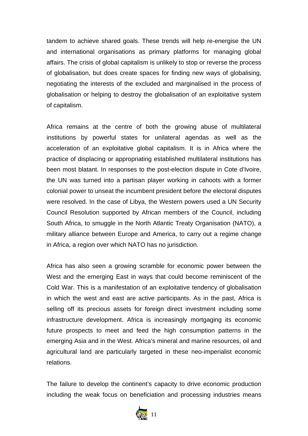tandem to achieve shared goals. These trends will help re-energise the UN and international organisations as primary platforms for managing global affairs. The crisis of global capitalism is unlikely to stop or reverse the process of globalisation, but does create spaces for finding new ways of globalising, negotiating the interests of the excluded and marginalised in the process of globalisation or helping to destroy the globalisation of an exploitative system of capitalism.

Africa remains at the centre of both the growing abuse of multilateral institutions by powerful states for unilateral agendas as well as the acceleration of an exploitative global capitalism. It is in Africa where the practice of displacing or appropriating established multilateral institutions has been most blatant. In responses to the post-election dispute in Cote d'Ivoire, the UN was turned into a partisan player working in cahoots with a former colonial power to unseat the incumbent president before the electoral disputes were resolved. In the case of Libya, the Western powers used a UN Security Council Resolution supported by African members of the Council, including South Africa, to smuggle in the North Atlantic Treaty Organisation (NATO), a military alliance between Europe and America, to carry out a regime change in Africa, a region over which NATO has no jurisdiction.

Africa has also seen a growing scramble for economic power between the West and the emerging East in ways that could become reminiscent of the Cold War. This is a manifestation of an exploitative tendency of globalisation in which the west and east are active participants. As in the past, Africa is selling off its precious assets for foreign direct investment including some infrastructure development. Africa is increasingly mortgaging its economic future prospects to meet and feed the high consumption patterns in the emerging Asia and in the West. Africa's mineral and marine resources, oil and agricultural land are particularly targeted in these neo-imperialist economic relations.

The failure to develop the continent's capacity to drive economic production including the weak focus on beneficiation and processing industries means

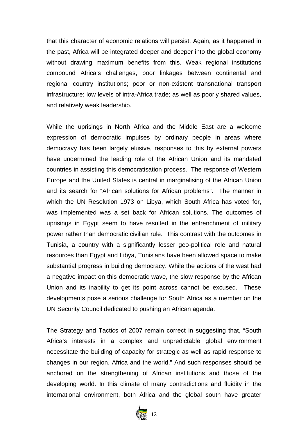that this character of economic relations will persist. Again, as it happened in the past, Africa will be integrated deeper and deeper into the global economy without drawing maximum benefits from this. Weak regional institutions compound Africa's challenges, poor linkages between continental and regional country institutions; poor or non-existent transnational transport infrastructure; low levels of intra-Africa trade; as well as poorly shared values, and relatively weak leadership.

While the uprisings in North Africa and the Middle East are a welcome expression of democratic impulses by ordinary people in areas where democravy has been largely elusive, responses to this by external powers have undermined the leading role of the African Union and its mandated countries in assisting this democratisation process. The response of Western Europe and the United States is central in marginalising of the African Union and its search for "African solutions for African problems". The manner in which the UN Resolution 1973 on Libya, which South Africa has voted for, was implemented was a set back for African solutions. The outcomes of uprisings in Egypt seem to have resulted in the entrenchment of military power rather than democratic civilian rule. This contrast with the outcomes in Tunisia, a country with a significantly lesser geo-political role and natural resources than Egypt and Libya, Tunisians have been allowed space to make substantial progress in building democracy. While the actions of the west had a negative impact on this democratic wave, the slow response by the African Union and its inability to get its point across cannot be excused. These developments pose a serious challenge for South Africa as a member on the UN Security Council dedicated to pushing an African agenda.

The Strategy and Tactics of 2007 remain correct in suggesting that, "South Africa's interests in a complex and unpredictable global environment necessitate the building of capacity for strategic as well as rapid response to changes in our region, Africa and the world." And such responses should be anchored on the strengthening of African institutions and those of the developing world. In this climate of many contradictions and fluidity in the international environment, both Africa and the global south have greater

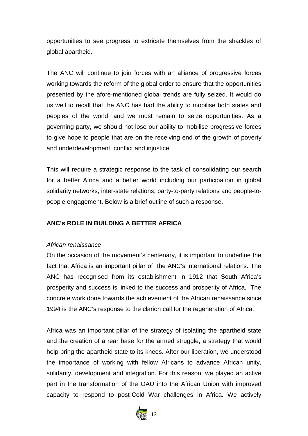opportunities to see progress to extricate themselves from the shackles of global apartheid.

The ANC will continue to join forces with an alliance of progressive forces working towards the reform of the global order to ensure that the opportunities presented by the afore-mentioned global trends are fully seized. It would do us well to recall that the ANC has had the ability to mobilise both states and peoples of the world, and we must remain to seize opportunities. As a governing party, we should not lose our ability to mobilise progressive forces to give hope to people that are on the receiving end of the growth of poverty and underdevelopment, conflict and injustice.

This will require a strategic response to the task of consolidating our search for a better Africa and a better world including our participation in global solidarity networks, inter-state relations, party-to-party relations and people-topeople engagement. Below is a brief outline of such a response.

# **ANC's ROLE IN BUILDING A BETTER AFRICA**

#### *African renaissance*

On the occasion of the movement's centenary, it is important to underline the fact that Africa is an important pillar of the ANC's international relations. The ANC has recognised from its establishment in 1912 that South Africa's prosperity and success is linked to the success and prosperity of Africa. The concrete work done towards the achievement of the African renaissance since 1994 is the ANC's response to the clarion call for the regeneration of Africa.

Africa was an important pillar of the strategy of isolating the apartheid state and the creation of a rear base for the armed struggle, a strategy that would help bring the apartheid state to its knees. After our liberation, we understood the importance of working with fellow Africans to advance African unity, solidarity, development and integration. For this reason, we played an active part in the transformation of the OAU into the African Union with improved capacity to respond to post-Cold War challenges in Africa. We actively

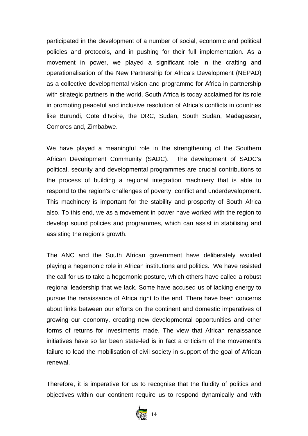participated in the development of a number of social, economic and political policies and protocols, and in pushing for their full implementation. As a movement in power, we played a significant role in the crafting and operationalisation of the New Partnership for Africa's Development (NEPAD) as a collective developmental vision and programme for Africa in partnership with strategic partners in the world. South Africa is today acclaimed for its role in promoting peaceful and inclusive resolution of Africa's conflicts in countries like Burundi, Cote d'Ivoire, the DRC, Sudan, South Sudan, Madagascar, Comoros and, Zimbabwe.

We have played a meaningful role in the strengthening of the Southern African Development Community (SADC). The development of SADC's political, security and developmental programmes are crucial contributions to the process of building a regional integration machinery that is able to respond to the region's challenges of poverty, conflict and underdevelopment. This machinery is important for the stability and prosperity of South Africa also. To this end, we as a movement in power have worked with the region to develop sound policies and programmes, which can assist in stabilising and assisting the region's growth.

The ANC and the South African government have deliberately avoided playing a hegemonic role in African institutions and politics. We have resisted the call for us to take a hegemonic posture, which others have called a robust regional leadership that we lack. Some have accused us of lacking energy to pursue the renaissance of Africa right to the end. There have been concerns about links between our efforts on the continent and domestic imperatives of growing our economy, creating new developmental opportunities and other forms of returns for investments made. The view that African renaissance initiatives have so far been state-led is in fact a criticism of the movement's failure to lead the mobilisation of civil society in support of the goal of African renewal.

Therefore, it is imperative for us to recognise that the fluidity of politics and objectives within our continent require us to respond dynamically and with

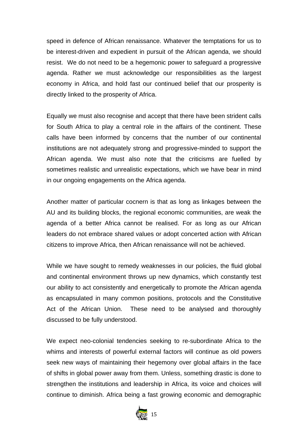speed in defence of African renaissance. Whatever the temptations for us to be interest-driven and expedient in pursuit of the African agenda, we should resist. We do not need to be a hegemonic power to safeguard a progressive agenda. Rather we must acknowledge our responsibilities as the largest economy in Africa, and hold fast our continued belief that our prosperity is directly linked to the prosperity of Africa.

Equally we must also recognise and accept that there have been strident calls for South Africa to play a central role in the affairs of the continent. These calls have been informed by concerns that the number of our continental institutions are not adequately strong and progressive-minded to support the African agenda. We must also note that the criticisms are fuelled by sometimes realistic and unrealistic expectations, which we have bear in mind in our ongoing engagements on the Africa agenda.

Another matter of particular cocnern is that as long as linkages between the AU and its building blocks, the regional economic communities, are weak the agenda of a better Africa cannot be realised. For as long as our African leaders do not embrace shared values or adopt concerted action with African citizens to improve Africa, then African renaissance will not be achieved.

While we have sought to remedy weaknesses in our policies, the fluid global and continental environment throws up new dynamics, which constantly test our ability to act consistently and energetically to promote the African agenda as encapsulated in many common positions, protocols and the Constitutive Act of the African Union. These need to be analysed and thoroughly discussed to be fully understood.

We expect neo-colonial tendencies seeking to re-subordinate Africa to the whims and interests of powerful external factors will continue as old powers seek new ways of maintaining their hegemony over global affairs in the face of shifts in global power away from them. Unless, something drastic is done to strengthen the institutions and leadership in Africa, its voice and choices will continue to diminish. Africa being a fast growing economic and demographic

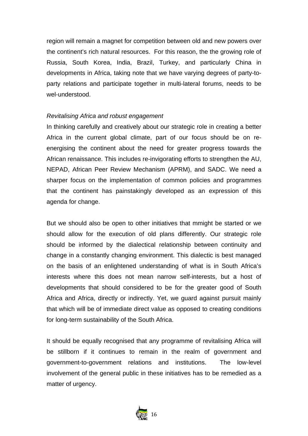region will remain a magnet for competition between old and new powers over the continent's rich natural resources. For this reason, the the growing role of Russia, South Korea, India, Brazil, Turkey, and particularly China in developments in Africa, taking note that we have varying degrees of party-toparty relations and participate together in multi-lateral forums, needs to be wel-understood.

#### *Revitalising Africa and robust engagement*

In thinking carefully and creatively about our strategic role in creating a better Africa in the current global climate, part of our focus should be on reenergising the continent about the need for greater progress towards the African renaissance. This includes re-invigorating efforts to strengthen the AU, NEPAD, African Peer Review Mechanism (APRM), and SADC. We need a sharper focus on the implementation of common policies and programmes that the continent has painstakingly developed as an expression of this agenda for change.

But we should also be open to other initiatives that mmight be started or we should allow for the execution of old plans differently. Our strategic role should be informed by the dialectical relationship between continuity and change in a constantly changing environment. This dialectic is best managed on the basis of an enlightened understanding of what is in South Africa's interests where this does not mean narrow self-interests, but a host of developments that should considered to be for the greater good of South Africa and Africa, directly or indirectly. Yet, we guard against pursuit mainly that which will be of immediate direct value as opposed to creating conditions for long-term sustainability of the South Africa.

It should be equally recognised that any programme of revitalising Africa will be stillborn if it continues to remain in the realm of government and government-to-government relations and institutions. The low-level involvement of the general public in these initiatives has to be remedied as a matter of urgency.

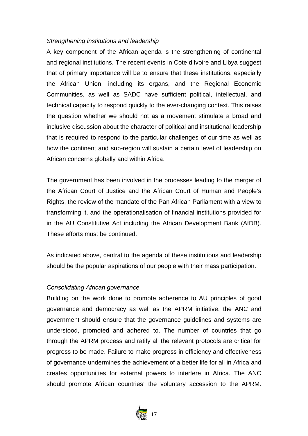#### *Strengthening institutions and leadership*

A key component of the African agenda is the strengthening of continental and regional institutions. The recent events in Cote d'Ivoire and Libya suggest that of primary importance will be to ensure that these institutions, especially the African Union, including its organs, and the Regional Economic Communities, as well as SADC have sufficient political, intellectual, and technical capacity to respond quickly to the ever-changing context. This raises the question whether we should not as a movement stimulate a broad and inclusive discussion about the character of political and institutional leadership that is required to respond to the particular challenges of our time as well as how the continent and sub-region will sustain a certain level of leadership on African concerns globally and within Africa.

The government has been involved in the processes leading to the merger of the African Court of Justice and the African Court of Human and People's Rights, the review of the mandate of the Pan African Parliament with a view to transforming it, and the operationalisation of financial institutions provided for in the AU Constitutive Act including the African Development Bank (AfDB). These efforts must be continued.

As indicated above, central to the agenda of these institutions and leadership should be the popular aspirations of our people with their mass participation.

#### *Consolidating African governance*

Building on the work done to promote adherence to AU principles of good governance and democracy as well as the APRM initiative, the ANC and government should ensure that the governance guidelines and systems are understood, promoted and adhered to. The number of countries that go through the APRM process and ratify all the relevant protocols are critical for progress to be made. Failure to make progress in efficiency and effectiveness of governance undermines the achievement of a better life for all in Africa and creates opportunities for external powers to interfere in Africa. The ANC should promote African countries' the voluntary accession to the APRM.

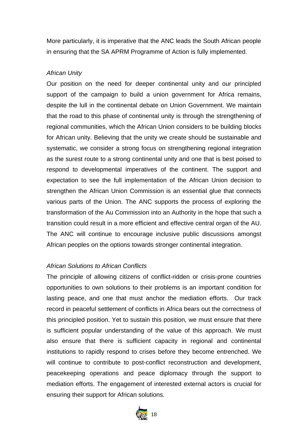More particularly, it is imperative that the ANC leads the South African people in ensuring that the SA APRM Programme of Action is fully implemented.

#### *African Unity*

Our position on the need for deeper continental unity and our principled support of the campaign to build a union government for Africa remains, despite the lull in the continental debate on Union Government. We maintain that the road to this phase of continental unity is through the strengthening of regional communities, which the African Union considers to be building blocks for African unity. Believing that the unity we create should be sustainable and systematic, we consider a strong focus on strengthening regional integration as the surest route to a strong continental unity and one that is best poised to respond to developmental imperatives of the continent. The support and expectation to see the full implementation of the African Union decision to strengthen the African Union Commission is an essential glue that connects various parts of the Union. The ANC supports the process of exploring the transformation of the Au Commission into an Authority in the hope that such a transition could result in a more efficient and effective central organ of the AU. The ANC will continue to encourage inclusive public discussions amongst African peoples on the options towards stronger continental integration.

#### *African Solutions to African Conflicts*

The principle of allowing citizens of conflict-ridden or crisis-prone countries opportunities to own solutions to their problems is an important condition for lasting peace, and one that must anchor the mediation efforts. Our track record in peaceful settlement of conflicts in Africa bears out the correctness of this principled position. Yet to sustain this position, we must ensure that there is sufficient popular understanding of the value of this approach. We must also ensure that there is sufficient capacity in regional and continental institutions to rapidly respond to crises before they become entrenched. We will continue to contribute to post-conflict reconstruction and development, peacekeeping operations and peace diplomacy through the support to mediation efforts. The engagement of interested external actors is crucial for ensuring their support for African solutions.

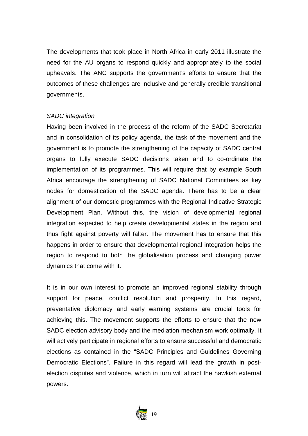The developments that took place in North Africa in early 2011 illustrate the need for the AU organs to respond quickly and appropriately to the social upheavals. The ANC supports the government's efforts to ensure that the outcomes of these challenges are inclusive and generally credible transitional governments.

#### *SADC integration*

Having been involved in the process of the reform of the SADC Secretariat and in consolidation of its policy agenda, the task of the movement and the government is to promote the strengthening of the capacity of SADC central organs to fully execute SADC decisions taken and to co-ordinate the implementation of its programmes. This will require that by example South Africa encourage the strengthening of SADC National Committees as key nodes for domestication of the SADC agenda. There has to be a clear alignment of our domestic programmes with the Regional Indicative Strategic Development Plan. Without this, the vision of developmental regional integration expected to help create developmental states in the region and thus fight against poverty will falter. The movement has to ensure that this happens in order to ensure that developmental regional integration helps the region to respond to both the globalisation process and changing power dynamics that come with it.

It is in our own interest to promote an improved regional stability through support for peace, conflict resolution and prosperity. In this regard, preventative diplomacy and early warning systems are crucial tools for achieving this. The movement supports the efforts to ensure that the new SADC election advisory body and the mediation mechanism work optimally. It will actively participate in regional efforts to ensure successful and democratic elections as contained in the "SADC Principles and Guidelines Governing Democratic Elections". Failure in this regard will lead the growth in postelection disputes and violence, which in turn will attract the hawkish external powers.

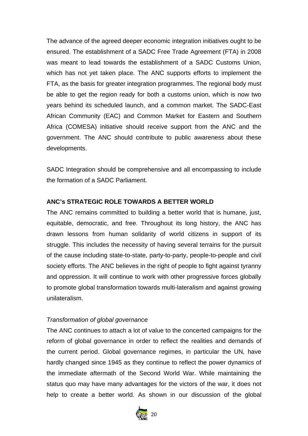The advance of the agreed deeper economic integration initiatives ought to be ensured. The establishment of a SADC Free Trade Agreement (FTA) in 2008 was meant to lead towards the establishment of a SADC Customs Union, which has not yet taken place. The ANC supports efforts to implement the FTA, as the basis for greater integration programmes. The regional body must be able to get the region ready for both a customs union, which is now two years behind its scheduled launch, and a common market. The SADC-East African Community (EAC) and Common Market for Eastern and Southern Africa (COMESA) initiative should receive support from the ANC and the government. The ANC should contribute to public awareness about these developments.

SADC Integration should be comprehensive and all encompassing to include the formation of a SADC Parliament.

# **ANC's STRATEGIC ROLE TOWARDS A BETTER WORLD**

The ANC remains committed to building a better world that is humane, just, equitable, democratic, and free. Throughout its long history, the ANC has drawn lessons from human solidarity of world citizens in support of its struggle. This includes the necessity of having several terrains for the pursuit of the cause including state-to-state, party-to-party, people-to-people and civil society efforts. The ANC believes in the right of people to fight against tyranny and oppression. It will continue to work with other progressive forces globally to promote global transformation towards multi-lateralism and against growing unilateralism.

# *Transformation of global governance*

The ANC continues to attach a lot of value to the concerted campaigns for the reform of global governance in order to reflect the realities and demands of the current period. Global governance regimes, in particular the UN, have hardly changed since 1945 as they continue to reflect the power dynamics of the immediate aftermath of the Second World War. While maintaining the status quo may have many advantages for the victors of the war, it does not help to create a better world. As shown in our discussion of the global

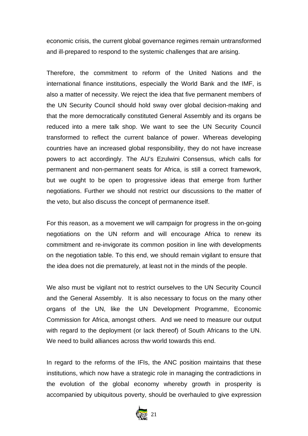economic crisis, the current global governance regimes remain untransformed and ill-prepared to respond to the systemic challenges that are arising.

Therefore, the commitment to reform of the United Nations and the international finance institutions, especially the World Bank and the IMF, is also a matter of necessity. We reject the idea that five permanent members of the UN Security Council should hold sway over global decision-making and that the more democratically constituted General Assembly and its organs be reduced into a mere talk shop. We want to see the UN Security Council transformed to reflect the current balance of power. Whereas developing countries have an increased global responsibility, they do not have increase powers to act accordingly. The AU's Ezulwini Consensus, which calls for permanent and non-permanent seats for Africa, is still a correct framework, but we ought to be open to progressive ideas that emerge from further negotiations. Further we should not restrict our discussions to the matter of the veto, but also discuss the concept of permanence itself.

For this reason, as a movement we will campaign for progress in the on-going negotiations on the UN reform and will encourage Africa to renew its commitment and re-invigorate its common position in line with developments on the negotiation table. To this end, we should remain vigilant to ensure that the idea does not die prematurely, at least not in the minds of the people.

We also must be vigilant not to restrict ourselves to the UN Security Council and the General Assembly. It is also necessary to focus on the many other organs of the UN, like the UN Development Programme, Economic Commission for Africa, amongst others. And we need to measure our output with regard to the deployment (or lack thereof) of South Africans to the UN. We need to build alliances across thw world towards this end.

In regard to the reforms of the IFIs, the ANC position maintains that these institutions, which now have a strategic role in managing the contradictions in the evolution of the global economy whereby growth in prosperity is accompanied by ubiquitous poverty, should be overhauled to give expression

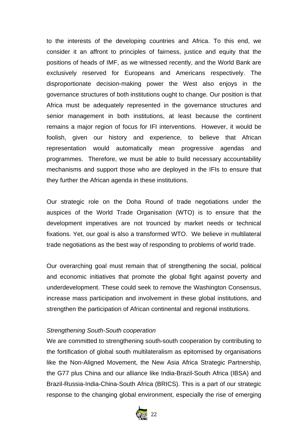to the interests of the developing countries and Africa. To this end, we consider it an affront to principles of fairness, justice and equity that the positions of heads of IMF, as we witnessed recently, and the World Bank are exclusively reserved for Europeans and Americans respectively. The disproportionate decision-making power the West also enjoys in the governance structures of both institutions ought to change. Our position is that Africa must be adequately represented in the governance structures and senior management in both institutions, at least because the continent remains a major region of focus for IFI interventions. However, it would be foolish, given our history and experience, to believe that African representation would automatically mean progressive agendas and programmes. Therefore, we must be able to build necessary accountability mechanisms and support those who are deployed in the IFIs to ensure that they further the African agenda in these institutions.

Our strategic role on the Doha Round of trade negotiations under the auspices of the World Trade Organisation (WTO) is to ensure that the development imperatives are not trounced by market needs or technical fixations. Yet, our goal is also a transformed WTO. We believe in multilateral trade negotiations as the best way of responding to problems of world trade.

Our overarching goal must remain that of strengthening the social, political and economic initiatives that promote the global fight against poverty and underdevelopment. These could seek to remove the Washington Consensus, increase mass participation and involvement in these global institutions, and strengthen the participation of African continental and regional institutions.

#### *Strengthening South-South cooperation*

We are committed to strengthening south-south cooperation by contributing to the fortification of global south multilateralism as epitomised by organisations like the Non-Aligned Movement, the New Asia Africa Strategic Partnership, the G77 plus China and our alliance like India-Brazil-South Africa (IBSA) and Brazil-Russia-India-China-South Africa (BRICS). This is a part of our strategic response to the changing global environment, especially the rise of emerging

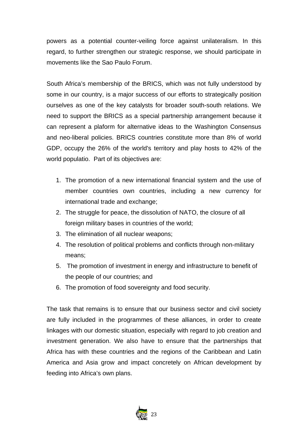powers as a potential counter-veiling force against unilateralism. In this regard, to further strengthen our strategic response, we should participate in movements like the Sao Paulo Forum.

South Africa's membership of the BRICS, which was not fully understood by some in our country, is a major success of our efforts to strategically position ourselves as one of the key catalysts for broader south-south relations. We need to support the BRICS as a special partnership arrangement because it can represent a plaform for alternative ideas to the Washington Consensus and neo-liberal policies. BRICS countries constitute more than 8% of world GDP, occupy the 26% of the world's territory and play hosts to 42% of the world populatio. Part of its objectives are:

- 1. The promotion of a new international financial system and the use of member countries own countries, including a new currency for international trade and exchange;
- 2. The struggle for peace, the dissolution of NATO, the closure of all foreign military bases in countries of the world;
- 3. The elimination of all nuclear weapons;
- 4. The resolution of political problems and conflicts through non-military means;
- 5. The promotion of investment in energy and infrastructure to benefit of the people of our countries; and
- 6. The promotion of food sovereignty and food security.

The task that remains is to ensure that our business sector and civil society are fully included in the programmes of these alliances, in order to create linkages with our domestic situation, especially with regard to job creation and investment generation. We also have to ensure that the partnerships that Africa has with these countries and the regions of the Caribbean and Latin America and Asia grow and impact concretely on African development by feeding into Africa's own plans.

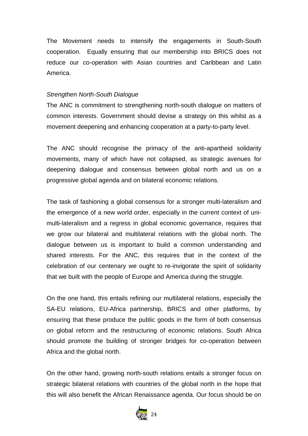The Movement needs to intensify the engagements in South-South cooperation. Equally ensuring that our membership into BRICS does not reduce our co-operation with Asian countries and Caribbean and Latin America.

#### *Strengthen North-South Dialogue*

The ANC is commitment to strengthening north-south dialogue on matters of common interests. Government should devise a strategy on this whilst as a movement deepening and enhancing cooperation at a party-to-party level.

The ANC should recognise the primacy of the anti-apartheid solidarity movements, many of which have not collapsed, as strategic avenues for deepening dialogue and consensus between global north and us on a progressive global agenda and on bilateral economic relations.

The task of fashioning a global consensus for a stronger multi-lateralism and the emergence of a new world order, especially in the current context of unimulti-lateralism and a regress in global economic governance, requires that we grow our bilateral and multilateral relations with the global north. The dialogue between us is important to build a common understanding and shared interests. For the ANC, this requires that in the context of the celebration of our centenary we ought to re-invigorate the spirit of solidarity that we built with the people of Europe and America during the struggle.

On the one hand, this entails refining our multilateral relations, especially the SA-EU relations, EU-Africa partnership, BRICS and other platforms, by ensuring that these produce the public goods in the form of both consensus on global reform and the restructuring of economic relations. South Africa should promote the building of stronger bridges for co-operation between Africa and the global north.

On the other hand, growing north-south relations entails a stronger focus on strategic bilateral relations with countries of the global north in the hope that this will also benefit the African Renaissance agenda. Our focus should be on

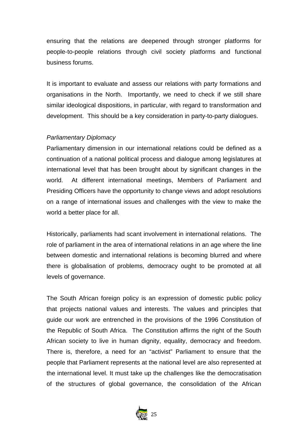ensuring that the relations are deepened through stronger platforms for people-to-people relations through civil society platforms and functional business forums.

It is important to evaluate and assess our relations with party formations and organisations in the North. Importantly, we need to check if we still share similar ideological dispositions, in particular, with regard to transformation and development. This should be a key consideration in party-to-party dialogues.

#### *Parliamentary Diplomacy*

Parliamentary dimension in our international relations could be defined as a continuation of a national political process and dialogue among legislatures at international level that has been brought about by significant changes in the world. At different international meetings, Members of Parliament and Presiding Officers have the opportunity to change views and adopt resolutions on a range of international issues and challenges with the view to make the world a better place for all.

Historically, parliaments had scant involvement in international relations. The role of parliament in the area of international relations in an age where the line between domestic and international relations is becoming blurred and where there is globalisation of problems, democracy ought to be promoted at all levels of governance.

The South African foreign policy is an expression of domestic public policy that projects national values and interests. The values and principles that guide our work are entrenched in the provisions of the 1996 Constitution of the Republic of South Africa. The Constitution affirms the right of the South African society to live in human dignity, equality, democracy and freedom. There is, therefore, a need for an "activist" Parliament to ensure that the people that Parliament represents at the national level are also represented at the international level. It must take up the challenges like the democratisation of the structures of global governance, the consolidation of the African

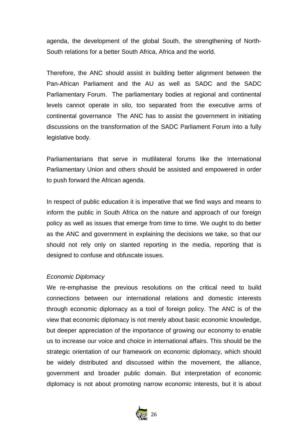agenda, the development of the global South, the strengthening of North-South relations for a better South Africa, Africa and the world.

Therefore, the ANC should assist in building better alignment between the Pan-African Parliament and the AU as well as SADC and the SADC Parliamentary Forum. The parliamentary bodies at regional and continental levels cannot operate in silo, too separated from the executive arms of continental governance The ANC has to assist the government in initiating discussions on the transformation of the SADC Parliament Forum into a fully legislative body.

Parliamentarians that serve in mutlilateral forums like the International Parliamentary Union and others should be assisted and empowered in order to push forward the African agenda.

In respect of public education it is imperative that we find ways and means to inform the public in South Africa on the nature and approach of our foreign policy as well as issues that emerge from time to time. We ought to do better as the ANC and government in explaining the decisions we take, so that our should not rely only on slanted reporting in the media, reporting that is designed to confuse and obfuscate issues.

#### *Economic Diplomacy*

We re-emphasise the previous resolutions on the critical need to build connections between our international relations and domestic interests through economic diplomacy as a tool of foreign policy. The ANC is of the view that economic diplomacy is not merely about basic economic knowledge, but deeper appreciation of the importance of growing our economy to enable us to increase our voice and choice in international affairs. This should be the strategic orientation of our framework on economic diplomacy, which should be widely distributed and discussed within the movement, the alliance, government and broader public domain. But interpretation of economic diplomacy is not about promoting narrow economic interests, but it is about

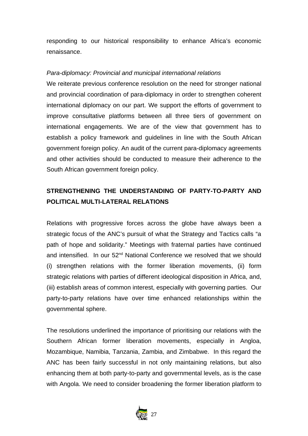responding to our historical responsibility to enhance Africa's economic renaissance.

#### *Para-diplomacy: Provincial and municipal international relations*

We reiterate previous conference resolution on the need for stronger national and provincial coordination of para-diplomacy in order to strengthen coherent international diplomacy on our part. We support the efforts of government to improve consultative platforms between all three tiers of government on international engagements. We are of the view that government has to establish a policy framework and guidelines in line with the South African government foreign policy. An audit of the current para-diplomacy agreements and other activities should be conducted to measure their adherence to the South African government foreign policy.

# **STRENGTHENING THE UNDERSTANDING OF PARTY-TO-PARTY AND POLITICAL MULTI-LATERAL RELATIONS**

Relations with progressive forces across the globe have always been a strategic focus of the ANC's pursuit of what the Strategy and Tactics calls "a path of hope and solidarity." Meetings with fraternal parties have continued and intensified. In our 52<sup>nd</sup> National Conference we resolved that we should (i) strengthen relations with the former liberation movements, (ii) form strategic relations with parties of different ideological disposition in Africa, and, (iii) establish areas of common interest, especially with governing parties. Our party-to-party relations have over time enhanced relationships within the governmental sphere.

The resolutions underlined the importance of prioritising our relations with the Southern African former liberation movements, especially in Angloa, Mozambique, Namibia, Tanzania, Zambia, and Zimbabwe. In this regard the ANC has been fairly successful in not only maintaining relations, but also enhancing them at both party-to-party and governmental levels, as is the case with Angola. We need to consider broadening the former liberation platform to

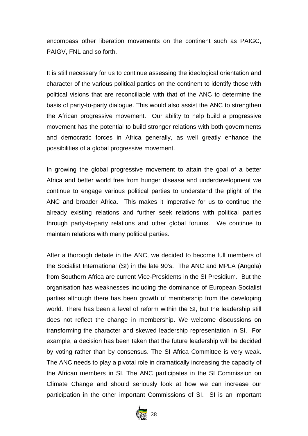encompass other liberation movements on the continent such as PAIGC, PAIGV, FNL and so forth.

It is still necessary for us to continue assessing the ideological orientation and character of the various political parties on the continent to identify those with political visions that are reconciliable with that of the ANC to determine the basis of party-to-party dialogue. This would also assist the ANC to strengthen the African progressive movement. Our ability to help build a progressive movement has the potential to build stronger relations with both governments and democratic forces in Africa generally, as well greatly enhance the possibilities of a global progressive movement.

In growing the global progressive movement to attain the goal of a better Africa and better world free from hunger disease and underdevelopment we continue to engage various political parties to understand the plight of the ANC and broader Africa. This makes it imperative for us to continue the already existing relations and further seek relations with political parties through party-to-party relations and other global forums. We continue to maintain relations with many political parties.

After a thorough debate in the ANC, we decided to become full members of the Socialist International (SI) in the late 90's. The ANC and MPLA (Angola) from Southern Africa are current Vice-Presidents in the SI Presidium. But the organisation has weaknesses including the dominance of European Socialist parties although there has been growth of membership from the developing world. There has been a level of reform within the SI, but the leadership still does not reflect the change in membership. We welcome discussions on transforming the character and skewed leadership representation in SI. For example, a decision has been taken that the future leadership will be decided by voting rather than by consensus. The SI Africa Committee is very weak. The ANC needs to play a pivotal role in dramatically increasing the capacity of the African members in SI. The ANC participates in the SI Commission on Climate Change and should seriously look at how we can increase our participation in the other important Commissions of SI. SI is an important

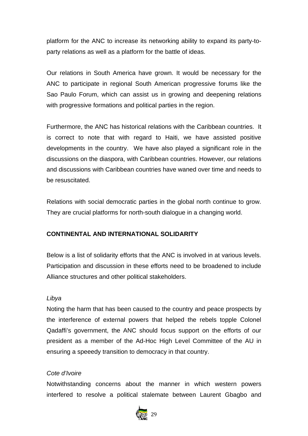platform for the ANC to increase its networking ability to expand its party-toparty relations as well as a platform for the battle of ideas.

Our relations in South America have grown. It would be necessary for the ANC to participate in regional South American progressive forums like the Sao Paulo Forum, which can assist us in growing and deepening relations with progressive formations and political parties in the region.

Furthermore, the ANC has historical relations with the Caribbean countries. It is correct to note that with regard to Haiti, we have assisted positive developments in the country. We have also played a significant role in the discussions on the diaspora, with Caribbean countries. However, our relations and discussions with Caribbean countries have waned over time and needs to be resuscitated.

Relations with social democratic parties in the global north continue to grow. They are crucial platforms for north-south dialogue in a changing world.

# **CONTINENTAL AND INTERNATIONAL SOLIDARITY**

Below is a list of solidarity efforts that the ANC is involved in at various levels. Participation and discussion in these efforts need to be broadened to include Alliance structures and other political stakeholders.

# *Libya*

Noting the harm that has been caused to the country and peace prospects by the interference of external powers that helped the rebels topple Colonel Qadaffi's government, the ANC should focus support on the efforts of our president as a member of the Ad-Hoc High Level Committee of the AU in ensuring a speeedy transition to democracy in that country.

# *Cote d'Ivoire*

Notwithstanding concerns about the manner in which western powers interfered to resolve a political stalemate between Laurent Gbagbo and

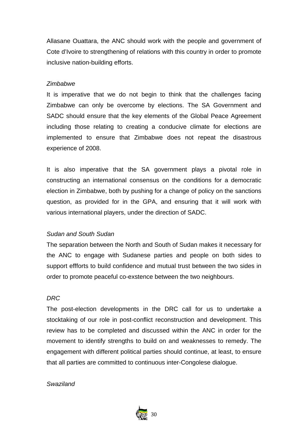Allasane Ouattara, the ANC should work with the people and government of Cote d'Ivoire to strengthening of relations with this country in order to promote inclusive nation-building efforts.

#### *Zimbabwe*

It is imperative that we do not begin to think that the challenges facing Zimbabwe can only be overcome by elections. The SA Government and SADC should ensure that the key elements of the Global Peace Agreement including those relating to creating a conducive climate for elections are implemented to ensure that Zimbabwe does not repeat the disastrous experience of 2008.

It is also imperative that the SA government plays a pivotal role in constructing an international consensus on the conditions for a democratic election in Zimbabwe, both by pushing for a change of policy on the sanctions question, as provided for in the GPA, and ensuring that it will work with various international players, under the direction of SADC.

#### *Sudan and South Sudan*

The separation between the North and South of Sudan makes it necessary for the ANC to engage with Sudanese parties and people on both sides to support effforts to build confidence and mutual trust between the two sides in order to promote peaceful co-exstence between the two neighbours.

#### *DRC*

The post-election developments in the DRC call for us to undertake a stocktaking of our role in post-conflict reconstruction and development. This review has to be completed and discussed within the ANC in order for the movement to identify strengths to build on and weaknesses to remedy. The engagement with different political parties should continue, at least, to ensure that all parties are committed to continuous inter-Congolese dialogue.

#### *Swaziland*

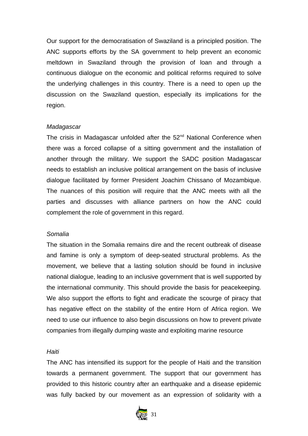Our support for the democratisation of Swaziland is a principled position. The ANC supports efforts by the SA government to help prevent an economic meltdown in Swaziland through the provision of loan and through a continuous dialogue on the economic and political reforms required to solve the underlying challenges in this country. There is a need to open up the discussion on the Swaziland question, especially its implications for the region.

#### *Madagascar*

The crisis in Madagascar unfolded after the 52<sup>nd</sup> National Conference when there was a forced collapse of a sitting government and the installation of another through the military. We support the SADC position Madagascar needs to establish an inclusive political arrangement on the basis of inclusive dialogue facilitated by former President Joachim Chissano of Mozambique. The nuances of this position will require that the ANC meets with all the parties and discusses with alliance partners on how the ANC could complement the role of government in this regard.

#### *Somalia*

The situation in the Somalia remains dire and the recent outbreak of disease and famine is only a symptom of deep-seated structural problems. As the movement, we believe that a lasting solution should be found in inclusive national dialogue, leading to an inclusive government that is well supported by the international community. This should provide the basis for peacekeeping. We also support the efforts to fight and eradicate the scourge of piracy that has negative effect on the stability of the entire Horn of Africa region. We need to use our influence to also begin discussions on how to prevent private companies from illegally dumping waste and exploiting marine resource

#### *Haiti*

The ANC has intensified its support for the people of Haiti and the transition towards a permanent government. The support that our government has provided to this historic country after an earthquake and a disease epidemic was fully backed by our movement as an expression of solidarity with a

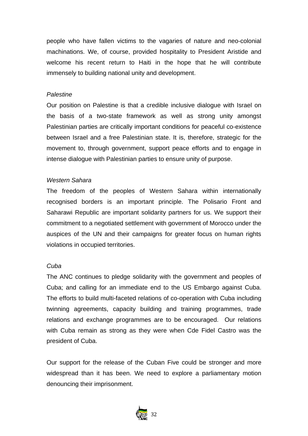people who have fallen victims to the vagaries of nature and neo-colonial machinations. We, of course, provided hospitality to President Aristide and welcome his recent return to Haiti in the hope that he will contribute immensely to building national unity and development.

#### *Palestine*

Our position on Palestine is that a credible inclusive dialogue with Israel on the basis of a two-state framework as well as strong unity amongst Palestinian parties are critically important conditions for peaceful co-existence between Israel and a free Palestinian state. It is, therefore, strategic for the movement to, through government, support peace efforts and to engage in intense dialogue with Palestinian parties to ensure unity of purpose.

#### *Western Sahara*

The freedom of the peoples of Western Sahara within internationally recognised borders is an important principle. The Polisario Front and Saharawi Republic are important solidarity partners for us. We support their commitment to a negotiated settlement with government of Morocco under the auspices of the UN and their campaigns for greater focus on human rights violations in occupied territories.

#### *Cuba*

The ANC continues to pledge solidarity with the government and peoples of Cuba; and calling for an immediate end to the US Embargo against Cuba. The efforts to build multi-faceted relations of co-operation with Cuba including twinning agreements, capacity building and training programmes, trade relations and exchange programmes are to be encouraged. Our relations with Cuba remain as strong as they were when Cde Fidel Castro was the president of Cuba.

Our support for the release of the Cuban Five could be stronger and more widespread than it has been. We need to explore a parliamentary motion denouncing their imprisonment.

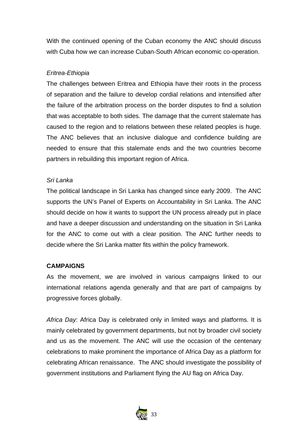With the continued opening of the Cuban economy the ANC should discuss with Cuba how we can increase Cuban-South African economic co-operation.

# *Eritrea-Ethiopia*

The challenges between Eritrea and Ethiopia have their roots in the process of separation and the failure to develop cordial relations and intensified after the failure of the arbitration process on the border disputes to find a solution that was acceptable to both sides. The damage that the current stalemate has caused to the region and to relations between these related peoples is huge. The ANC believes that an inclusive dialogue and confidence building are needed to ensure that this stalemate ends and the two countries become partners in rebuilding this important region of Africa.

# *Sri Lanka*

The political landscape in Sri Lanka has changed since early 2009. The ANC supports the UN's Panel of Experts on Accountability in Sri Lanka. The ANC should decide on how it wants to support the UN process already put in place and have a deeper discussion and understanding on the situation in Sri Lanka for the ANC to come out with a clear position. The ANC further needs to decide where the Sri Lanka matter fits within the policy framework.

# **CAMPAIGNS**

As the movement, we are involved in various campaigns linked to our international relations agenda generally and that are part of campaigns by progressive forces globally.

*Africa Day*: Africa Day is celebrated only in limited ways and platforms. It is mainly celebrated by government departments, but not by broader civil society and us as the movement. The ANC will use the occasion of the centenary celebrations to make prominent the importance of Africa Day as a platform for celebrating African renaissance. The ANC should investigate the possibility of government institutions and Parliament flying the AU flag on Africa Day.

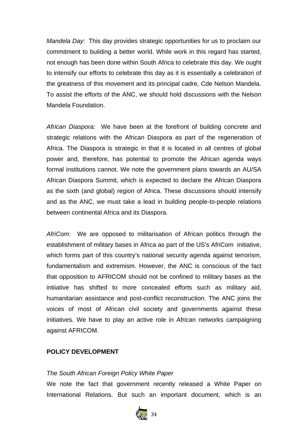*Mandela Day*: This day provides strategic opportunities for us to proclaim our commitment to building a better world. While work in this regard has started, not enough has been done within South Africa to celebrate this day. We ought to intensify our efforts to celebrate this day as it is essentially a celebration of the greatness of this movement and its principal cadre, Cde Nelson Mandela. To assist the efforts of the ANC, we should hold discussions with the Nelson Mandela Foundation.

*African Diaspora:* We have been at the forefront of building concrete and strategic relations with the African Diaspora as part of the regeneration of Africa. The Diaspora is strategic in that it is located in all centres of global power and, therefore, has potential to promote the African agenda ways formal institutions cannot. We note the government plans towards an AU/SA African Diaspora Summit, which is expected to declare the African Diaspora as the sixth (and global) region of Africa. These discussions should intensify and as the ANC, we must take a lead in building people-to-people relations between continental Africa and its Diaspora.

*AfriCom*: We are opposed to militarisation of African politics through the establishment of military bases in Africa as part of the US's AfriCom initiative, which forms part of this country's national security agenda against terrorism, fundamentalism and extremism. However, the ANC is conscious of the fact that opposition to AFRICOM should not be confined to military bases as the intiiative has shifted to more concealed efforts such as military aid, humanitarian assistance and post-conflict reconstruction. The ANC joins the voices of most of African civil society and governments against these initiatives. We have to play an active role in African networks campaigning against AFRICOM.

#### **POLICY DEVELOPMENT**

# *The South African Foreign Policy White Paper*

We note the fact that government recently released a White Paper on International Relations. But such an important document, which is an

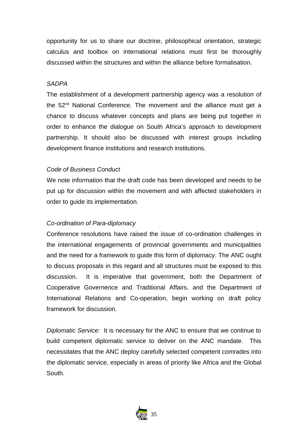opportunity for us to share our doctrine, philosophical orientation, strategic calculus and toolbox on international relations must first be thoroughly discussed within the structures and within the alliance before formalisation.

#### *SADPA*

The establishment of a development partnership agency was a resolution of the 52<sup>nd</sup> National Conference. The movement and the alliance must get a chance to discuss whatever concepts and plans are being put together in order to enhance the dialogue on South Africa's approach to development partnership. It should also be discussed with interest groups including development finance institutions and research institutions.

#### *Code of Business Conduct*

We note information that the draft code has been developed and needs to be put up for discussion within the movement and with affected stakeholders in order to guide its implementation.

#### *Co-ordination of Para-diplomacy*

Conference resolutions have raised the issue of co-ordination challenges in the international engagements of provincial governments and municipalities and the need for a framework to guide this form of diplomacy. The ANC ought to discuss proposals in this regard and all structures must be exposed to this discussion. It is imperative that government, both the Department of Cooperative Governence and Traditional Affairs, and the Department of International Relations and Co-operation, begin working on draft policy framework for discussion.

*Diplomatic Service:* It is necessary for the ANC to ensure that we continue to build competent diplomatic service to deliver on the ANC mandate. This necessitates that the ANC deploy carefully selected competent comrades into the diplomatic service, especially in areas of priority like Africa and the Global South.

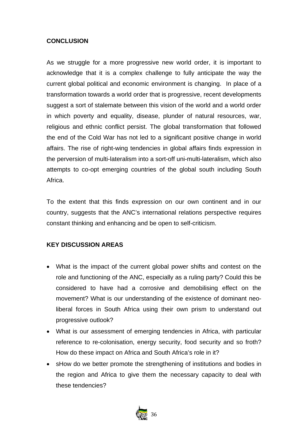# **CONCLUSION**

As we struggle for a more progressive new world order, it is important to acknowledge that it is a complex challenge to fully anticipate the way the current global political and economic environment is changing. In place of a transformation towards a world order that is progressive, recent developments suggest a sort of stalemate between this vision of the world and a world order in which poverty and equality, disease, plunder of natural resources, war, religious and ethnic conflict persist. The global transformation that followed the end of the Cold War has not led to a significant positive change in world affairs. The rise of right-wing tendencies in global affairs finds expression in the perversion of multi-lateralism into a sort-off uni-multi-lateralism, which also attempts to co-opt emerging countries of the global south including South Africa.

To the extent that this finds expression on our own continent and in our country, suggests that the ANC's international relations perspective requires constant thinking and enhancing and be open to self-criticism.

# **KEY DISCUSSION AREAS**

- What is the impact of the current global power shifts and contest on the role and functioning of the ANC, especially as a ruling party? Could this be considered to have had a corrosive and demobilising effect on the movement? What is our understanding of the existence of dominant neoliberal forces in South Africa using their own prism to understand out progressive outlook?
- What is our assessment of emerging tendencies in Africa, with particular reference to re-colonisation, energy security, food security and so froth? How do these impact on Africa and South Africa's role in it?
- sHow do we better promote the strengthening of institutions and bodies in the region and Africa to give them the necessary capacity to deal with these tendencies?